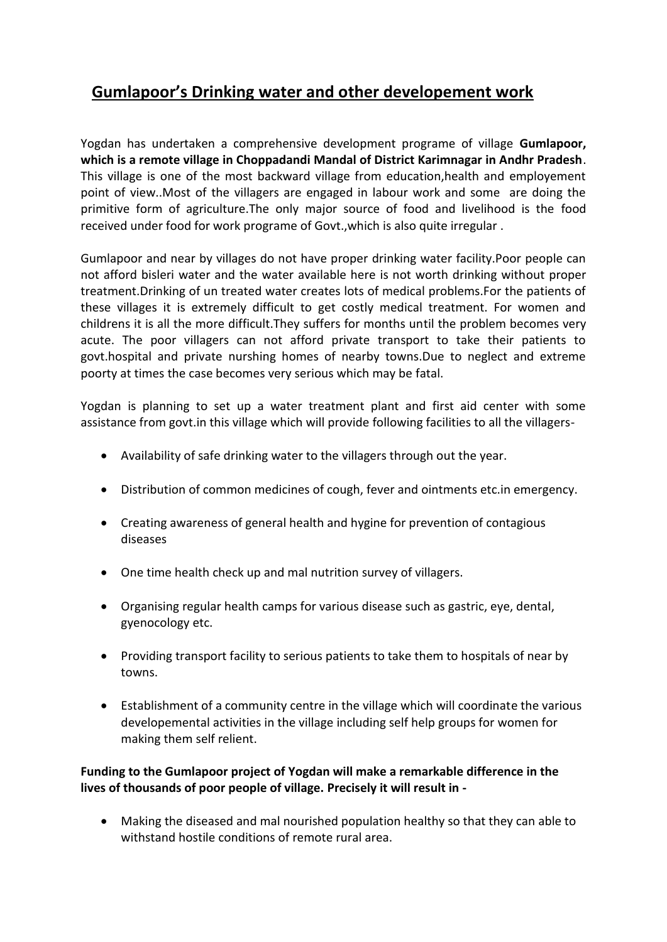# **Gumlapoor's Drinking water and other developement work**

Yogdan has undertaken a comprehensive development programe of village **Gumlapoor, which is a remote village in Choppadandi Mandal of District Karimnagar in Andhr Pradesh**. This village is one of the most backward village from education,health and employement point of view..Most of the villagers are engaged in labour work and some are doing the primitive form of agriculture.The only major source of food and livelihood is the food received under food for work programe of Govt.,which is also quite irregular .

Gumlapoor and near by villages do not have proper drinking water facility.Poor people can not afford bisleri water and the water available here is not worth drinking without proper treatment.Drinking of un treated water creates lots of medical problems.For the patients of these villages it is extremely difficult to get costly medical treatment. For women and childrens it is all the more difficult.They suffers for months until the problem becomes very acute. The poor villagers can not afford private transport to take their patients to govt.hospital and private nurshing homes of nearby towns.Due to neglect and extreme poorty at times the case becomes very serious which may be fatal.

Yogdan is planning to set up a water treatment plant and first aid center with some assistance from govt.in this village which will provide following facilities to all the villagers-

- Availability of safe drinking water to the villagers through out the year.
- Distribution of common medicines of cough, fever and ointments etc.in emergency.
- Creating awareness of general health and hygine for prevention of contagious diseases
- One time health check up and mal nutrition survey of villagers.
- Organising regular health camps for various disease such as gastric, eye, dental, gyenocology etc.
- Providing transport facility to serious patients to take them to hospitals of near by towns.
- Establishment of a community centre in the village which will coordinate the various developemental activities in the village including self help groups for women for making them self relient.

# **Funding to the Gumlapoor project of Yogdan will make a remarkable difference in the lives of thousands of poor people of village. Precisely it will result in -**

 Making the diseased and mal nourished population healthy so that they can able to withstand hostile conditions of remote rural area.